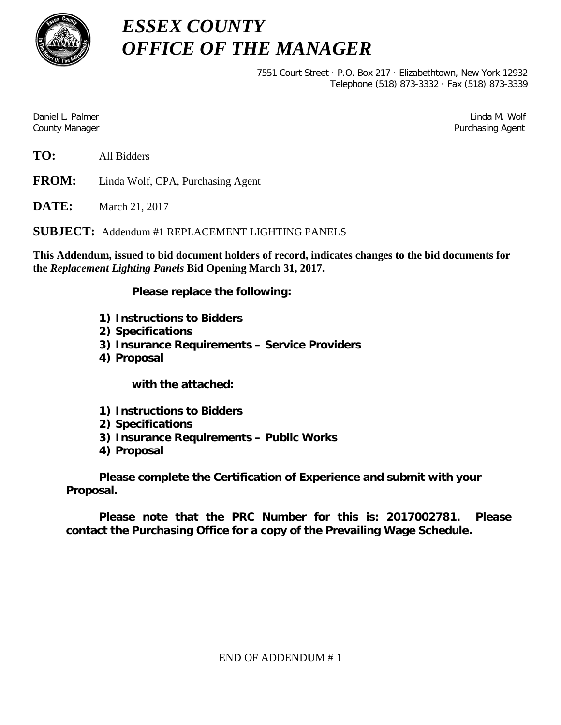

*ESSEX COUNTY OFFICE OF THE MANAGER*

> 7551 Court Street · P.O. Box 217 · Elizabethtown, New York 12932 Telephone (518) 873-3332 · Fax (518) 873-3339

Daniel L. Palmer Linda M. Wolf County Manager Purchasing Agent

**FROM:** Linda Wolf, CPA, Purchasing Agent

**DATE:** March 21, 2017

**SUBJECT:** Addendum #1 REPLACEMENT LIGHTING PANELS

**This Addendum, issued to bid document holders of record, indicates changes to the bid documents for the** *Replacement Lighting Panels* **Bid Opening March 31, 2017.**

**Please replace the following:**

- **1) Instructions to Bidders**
- **2) Specifications**
- **3) Insurance Requirements – Service Providers**
- **4) Proposal**

**with the attached:**

- **1) Instructions to Bidders**
- **2) Specifications**
- **3) Insurance Requirements – Public Works**
- **4) Proposal**

**Please complete the Certification of Experience and submit with your Proposal.** 

**Please note that the PRC Number for this is: 2017002781. Please contact the Purchasing Office for a copy of the Prevailing Wage Schedule.**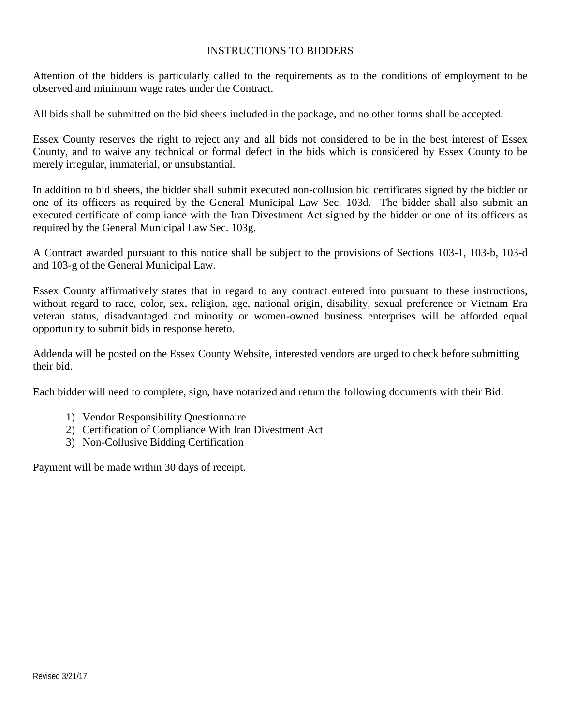#### INSTRUCTIONS TO BIDDERS

Attention of the bidders is particularly called to the requirements as to the conditions of employment to be observed and minimum wage rates under the Contract.

All bids shall be submitted on the bid sheets included in the package, and no other forms shall be accepted.

Essex County reserves the right to reject any and all bids not considered to be in the best interest of Essex County, and to waive any technical or formal defect in the bids which is considered by Essex County to be merely irregular, immaterial, or unsubstantial.

In addition to bid sheets, the bidder shall submit executed non-collusion bid certificates signed by the bidder or one of its officers as required by the General Municipal Law Sec. 103d. The bidder shall also submit an executed certificate of compliance with the Iran Divestment Act signed by the bidder or one of its officers as required by the General Municipal Law Sec. 103g.

A Contract awarded pursuant to this notice shall be subject to the provisions of Sections 103-1, 103-b, 103-d and 103-g of the General Municipal Law.

Essex County affirmatively states that in regard to any contract entered into pursuant to these instructions, without regard to race, color, sex, religion, age, national origin, disability, sexual preference or Vietnam Era veteran status, disadvantaged and minority or women-owned business enterprises will be afforded equal opportunity to submit bids in response hereto.

Addenda will be posted on the Essex County Website, interested vendors are urged to check before submitting their bid.

Each bidder will need to complete, sign, have notarized and return the following documents with their Bid:

- 1) Vendor Responsibility Questionnaire
- 2) Certification of Compliance With Iran Divestment Act
- 3) Non-Collusive Bidding Certification

Payment will be made within 30 days of receipt.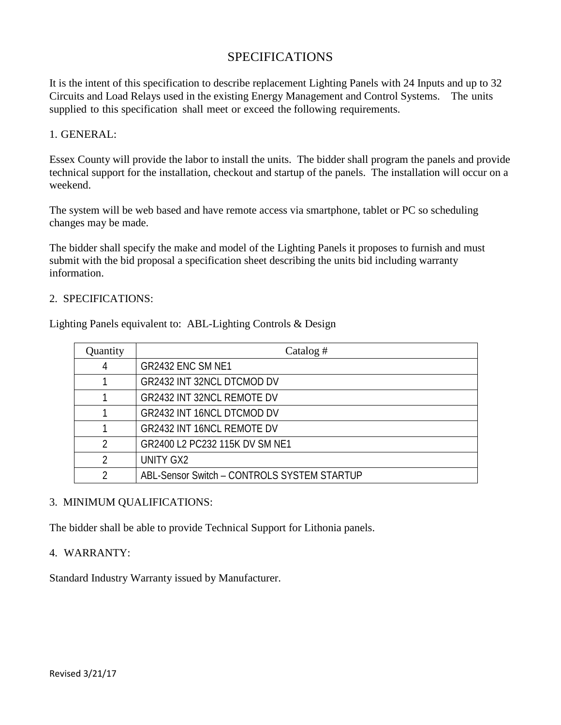## SPECIFICATIONS

It is the intent of this specification to describe replacement Lighting Panels with 24 Inputs and up to 32 Circuits and Load Relays used in the existing Energy Management and Control Systems. The units supplied to this specification shall meet or exceed the following requirements.

#### 1. GENERAL:

Essex County will provide the labor to install the units. The bidder shall program the panels and provide technical support for the installation, checkout and startup of the panels. The installation will occur on a weekend.

The system will be web based and have remote access via smartphone, tablet or PC so scheduling changes may be made.

The bidder shall specify the make and model of the Lighting Panels it proposes to furnish and must submit with the bid proposal a specification sheet describing the units bid including warranty information.

#### 2. SPECIFICATIONS:

Lighting Panels equivalent to: ABL-Lighting Controls & Design

| Quantity | Catalog $#$                                 |
|----------|---------------------------------------------|
|          | <b>GR2432 ENC SM NE1</b>                    |
|          | GR2432 INT 32NCL DTCMOD DV                  |
|          | <b>GR2432 INT 32NCL REMOTE DV</b>           |
|          | <b>GR2432 INT 16NCL DTCMOD DV</b>           |
|          | <b>GR2432 INT 16NCL REMOTE DV</b>           |
|          | GR2400 L2 PC232 115K DV SM NE1              |
|          | UNITY GX2                                   |
|          | ABL-Sensor Switch - CONTROLS SYSTEM STARTUP |

#### 3. MINIMUM QUALIFICATIONS:

The bidder shall be able to provide Technical Support for Lithonia panels.

#### 4. WARRANTY:

Standard Industry Warranty issued by Manufacturer.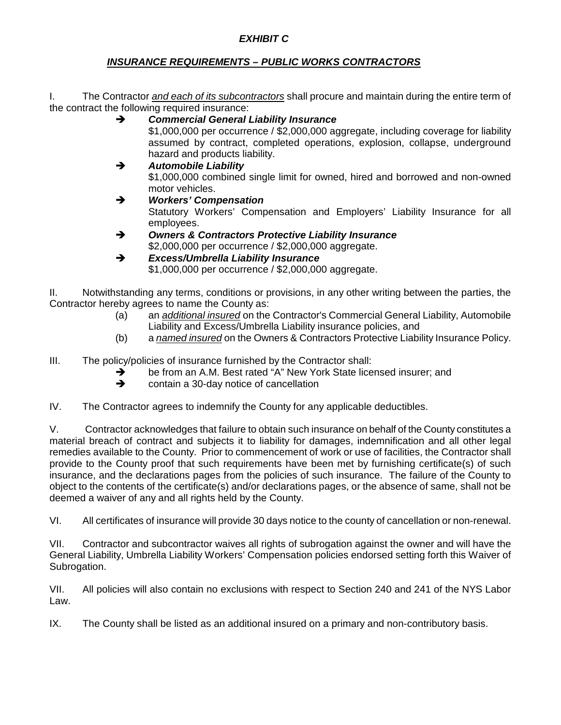### *EXHIBIT C*

#### *INSURANCE REQUIREMENTS – PUBLIC WORKS CONTRACTORS*

I. The Contractor *and each of its subcontractors* shall procure and maintain during the entire term of the contract the following required insurance:

- *Commercial General Liability Insurance* \$1,000,000 per occurrence / \$2,000,000 aggregate, including coverage for liability assumed by contract, completed operations, explosion, collapse, underground hazard and products liability. *Automobile Liability*
- \$1,000,000 combined single limit for owned, hired and borrowed and non-owned motor vehicles. *Workers' Compensation*
	- Statutory Workers' Compensation and Employers' Liability Insurance for all employees.
- *Owners & Contractors Protective Liability Insurance* \$2,000,000 per occurrence / \$2,000,000 aggregate.
- *Excess/Umbrella Liability Insurance* \$1,000,000 per occurrence / \$2,000,000 aggregate.

II. Notwithstanding any terms, conditions or provisions, in any other writing between the parties, the Contractor hereby agrees to name the County as:

- (a) an *additional insured* on the Contractor's Commercial General Liability, Automobile Liability and Excess/Umbrella Liability insurance policies, and
- (b) a *named insured* on the Owners & Contractors Protective Liability Insurance Policy.

III. The policy/policies of insurance furnished by the Contractor shall:

- $\rightarrow$  be from an A.M. Best rated "A" New York State licensed insurer; and contain a 30-day notice of cancellation
	- contain a 30-day notice of cancellation
- IV. The Contractor agrees to indemnify the County for any applicable deductibles.

V. Contractor acknowledges that failure to obtain such insurance on behalf of the County constitutes a material breach of contract and subjects it to liability for damages, indemnification and all other legal remedies available to the County. Prior to commencement of work or use of facilities, the Contractor shall provide to the County proof that such requirements have been met by furnishing certificate(s) of such insurance, and the declarations pages from the policies of such insurance. The failure of the County to object to the contents of the certificate(s) and/or declarations pages, or the absence of same, shall not be deemed a waiver of any and all rights held by the County.

VI. All certificates of insurance will provide 30 days notice to the county of cancellation or non-renewal.

VII. Contractor and subcontractor waives all rights of subrogation against the owner and will have the General Liability, Umbrella Liability Workers' Compensation policies endorsed setting forth this Waiver of Subrogation.

VII. All policies will also contain no exclusions with respect to Section 240 and 241 of the NYS Labor Law.

IX. The County shall be listed as an additional insured on a primary and non-contributory basis.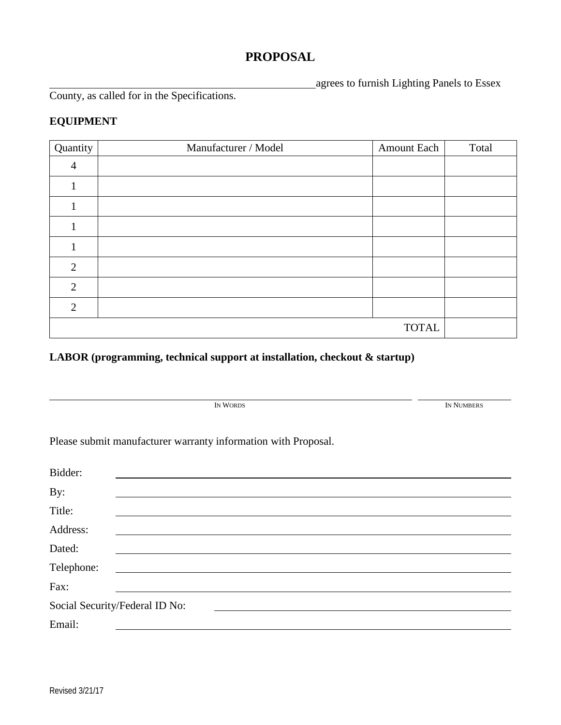# **PROPOSAL**

agrees to furnish Lighting Panels to Essex

County, as called for in the Specifications.

## **EQUIPMENT**

| Quantity       | Manufacturer / Model | Amount Each  | Total |
|----------------|----------------------|--------------|-------|
|                |                      |              |       |
|                |                      |              |       |
|                |                      |              |       |
|                |                      |              |       |
|                |                      |              |       |
| 2              |                      |              |       |
| 2              |                      |              |       |
| $\overline{2}$ |                      |              |       |
|                |                      | <b>TOTAL</b> |       |

**LABOR (programming, technical support at installation, checkout & startup)**

| IN WORDS                                                       | IN NUMBERS |
|----------------------------------------------------------------|------------|
| Please submit manufacturer warranty information with Proposal. |            |
| Bidder:                                                        |            |
| By:                                                            |            |
| Title:                                                         |            |
| Address:                                                       |            |
| Dated:                                                         |            |
| Telephone:                                                     |            |
| Fax:                                                           |            |
| Social Security/Federal ID No:                                 |            |
| Email:                                                         |            |